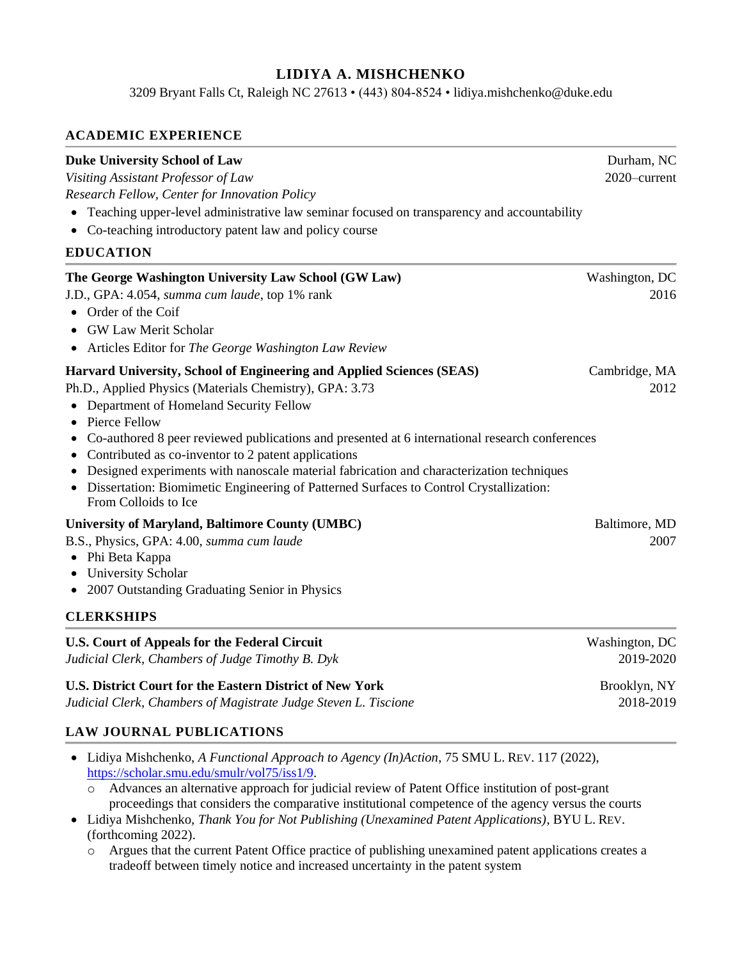# **LIDIYA A. MISHCHENKO**

3209 Bryant Falls Ct, Raleigh NC 27613 • (443) 804-8524 • lidiya.mishchenko@duke.edu

#### **ACADEMIC EXPERIENCE**

#### **Duke University School of Law** Durham, NC

*Visiting Assistant Professor of Law* 2020–current *Research Fellow, Center for Innovation Policy*

- Teaching upper-level administrative law seminar focused on transparency and accountability
- Co-teaching introductory patent law and policy course

#### **EDUCATION**

| The George Washington University Law School (GW Law)<br>J.D., GPA: 4.054, summa cum laude, top 1% rank<br>Order of the Coif<br><b>GW Law Merit Scholar</b><br>• Articles Editor for The George Washington Law Review                                                                                                                                                                                                                                                                                                                                               | Washington, DC<br>2016      |
|--------------------------------------------------------------------------------------------------------------------------------------------------------------------------------------------------------------------------------------------------------------------------------------------------------------------------------------------------------------------------------------------------------------------------------------------------------------------------------------------------------------------------------------------------------------------|-----------------------------|
| Harvard University, School of Engineering and Applied Sciences (SEAS)<br>Ph.D., Applied Physics (Materials Chemistry), GPA: 3.73<br>Department of Homeland Security Fellow<br>Pierce Fellow<br>Co-authored 8 peer reviewed publications and presented at 6 international research conferences<br>Contributed as co-inventor to 2 patent applications<br>Designed experiments with nanoscale material fabrication and characterization techniques<br>Dissertation: Biomimetic Engineering of Patterned Surfaces to Control Crystallization:<br>From Colloids to Ice | Cambridge, MA<br>2012       |
| University of Maryland, Baltimore County (UMBC)<br>B.S., Physics, GPA: 4.00, summa cum laude<br>Phi Beta Kappa<br>$\bullet$<br>• University Scholar<br>2007 Outstanding Graduating Senior in Physics<br>$\bullet$<br><b>CLERKSHIPS</b>                                                                                                                                                                                                                                                                                                                             | Baltimore, MD<br>2007       |
| <b>U.S. Court of Appeals for the Federal Circuit</b><br>Judicial Clerk, Chambers of Judge Timothy B. Dyk                                                                                                                                                                                                                                                                                                                                                                                                                                                           | Washington, DC<br>2019-2020 |

**U.S. District Court for the Eastern District of New York Brooklyn, NY** Brooklyn, NY

*Judicial Clerk, Chambers of Magistrate Judge Steven L. Tiscione* 2018-2019

#### **LAW JOURNAL PUBLICATIONS**

- Lidiya Mishchenko, *A Functional Approach to Agency (In)Action*, 75 SMU L. REV. 117 (2022), [https://scholar.smu.edu/smulr/vol75/iss1/9.](https://scholar.smu.edu/smulr/vol75/iss1/9)
	- o Advances an alternative approach for judicial review of Patent Office institution of post-grant proceedings that considers the comparative institutional competence of the agency versus the courts
- Lidiya Mishchenko, *Thank You for Not Publishing (Unexamined Patent Applications)*, BYU L. REV. (forthcoming 2022).
	- o Argues that the current Patent Office practice of publishing unexamined patent applications creates a tradeoff between timely notice and increased uncertainty in the patent system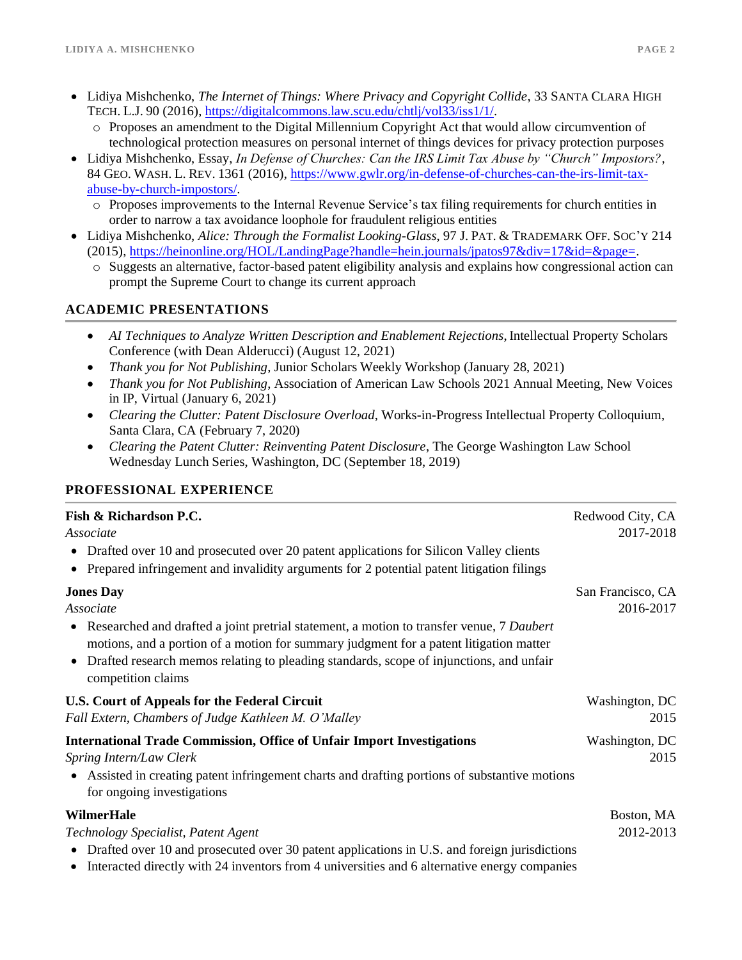- Lidiya Mishchenko, *The Internet of Things: Where Privacy and Copyright Collide*, 33 SANTA CLARA HIGH TECH. L.J. 90 (2016), [https://digitalcommons.law.scu.edu/chtlj/vol33/iss1/1/.](https://digitalcommons.law.scu.edu/chtlj/vol33/iss1/1/)
	- o Proposes an amendment to the Digital Millennium Copyright Act that would allow circumvention of technological protection measures on personal internet of things devices for privacy protection purposes
- Lidiya Mishchenko, Essay, *In Defense of Churches: Can the IRS Limit Tax Abuse by "Church" Impostors?*, 84 GEO. WASH. L. REV. 1361 (2016)[, https://www.gwlr.org/in-defense-of-churches-can-the-irs-limit-tax](https://www.gwlr.org/in-defense-of-churches-can-the-irs-limit-tax-abuse-by-church-impostors/)[abuse-by-church-impostors/.](https://www.gwlr.org/in-defense-of-churches-can-the-irs-limit-tax-abuse-by-church-impostors/)
	- o Proposes improvements to the Internal Revenue Service's tax filing requirements for church entities in order to narrow a tax avoidance loophole for fraudulent religious entities
- Lidiya Mishchenko, *Alice: Through the Formalist Looking-Glass*, 97 J. PAT. & TRADEMARK OFF. SOC'Y 214 (2015), [https://heinonline.org/HOL/LandingPage?handle=hein.journals/jpatos97&div=17&id=&page=.](https://heinonline.org/HOL/LandingPage?handle=hein.journals/jpatos97&div=17&id=&page=)
	- o Suggests an alternative, factor-based patent eligibility analysis and explains how congressional action can prompt the Supreme Court to change its current approach

## **ACADEMIC PRESENTATIONS**

- *AI Techniques to Analyze Written Description and Enablement Rejections*,Intellectual Property Scholars Conference (with Dean Alderucci) (August 12, 2021)
- *Thank you for Not Publishing*, Junior Scholars Weekly Workshop (January 28, 2021)
- *Thank you for Not Publishing*, Association of American Law Schools 2021 Annual Meeting, New Voices in IP, Virtual (January 6, 2021)
- *Clearing the Clutter: Patent Disclosure Overload*, Works-in-Progress Intellectual Property Colloquium, Santa Clara, CA (February 7, 2020)
- *Clearing the Patent Clutter: Reinventing Patent Disclosure*, The George Washington Law School Wednesday Lunch Series, Washington, DC (September 18, 2019)

## **PROFESSIONAL EXPERIENCE**

| Fish & Richardson P.C.<br>Redwood City, CA<br>Associate                                                                                                                                                                                                                                                                                  |                                |
|------------------------------------------------------------------------------------------------------------------------------------------------------------------------------------------------------------------------------------------------------------------------------------------------------------------------------------------|--------------------------------|
| • Drafted over 10 and prosecuted over 20 patent applications for Silicon Valley clients<br>• Prepared infringement and invalidity arguments for 2 potential patent litigation filings                                                                                                                                                    |                                |
| <b>Jones Day</b><br>Associate<br>• Researched and drafted a joint pretrial statement, a motion to transfer venue, 7 Daubert<br>motions, and a portion of a motion for summary judgment for a patent litigation matter<br>• Drafted research memos relating to pleading standards, scope of injunctions, and unfair<br>competition claims | San Francisco, CA<br>2016-2017 |
| <b>U.S. Court of Appeals for the Federal Circuit</b><br>Fall Extern, Chambers of Judge Kathleen M. O'Malley                                                                                                                                                                                                                              | Washington, DC<br>2015         |
| <b>International Trade Commission, Office of Unfair Import Investigations</b><br>Spring Intern/Law Clerk<br>• Assisted in creating patent infringement charts and drafting portions of substantive motions<br>for ongoing investigations                                                                                                 | Washington, DC<br>2015         |
| <b>WilmerHale</b><br>Technology Specialist, Patent Agent<br>• Drafted over 10 and prosecuted over 30 patent applications in U.S. and foreign jurisdictions<br>Interacted directly with 24 inventors from 4 universities and 6 alternative energy companies<br>$\bullet$                                                                  | Boston, MA<br>2012-2013        |